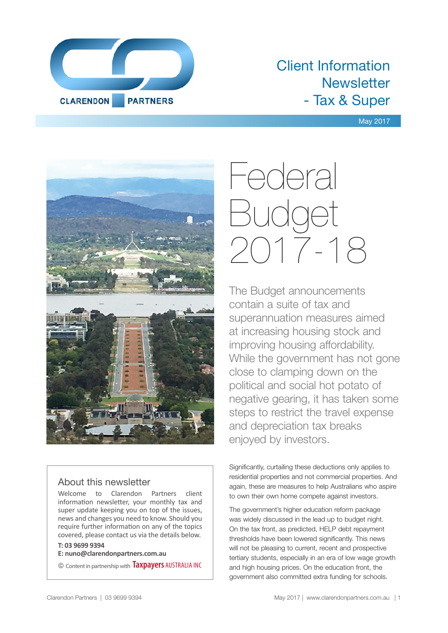

# Client Information **Newsletter** - Tax & Super

#### May 2017



#### About this newsletter

Welcome to Clarendon Partners client information newsletter, your monthly tax and super update keeping you on top of the issues, news and changes you need to know. Should you require further information on any of the topics covered, please contact us via the details below.

#### **T: 03 9699 9394**

**E: nuno@clarendonpartners.com.au**

© Content in partnership with **Taxpayers** AUSTRALIA INC

# Federal Budget 2017-18

The Budget announcements contain a suite of tax and superannuation measures aimed at increasing housing stock and improving housing affordability. While the government has not gone close to clamping down on the political and social hot potato of negative gearing, it has taken some steps to restrict the travel expense and depreciation tax breaks enjoyed by investors.

Significantly, curtailing these deductions only applies to residential properties and not commercial properties. And again, these are measures to help Australians who aspire to own their own home compete against investors.

The government's higher education reform package was widely discussed in the lead up to budget night. On the tax front, as predicted, HELP debt repayment thresholds have been lowered significantly. This news will not be pleasing to current, recent and prospective tertiary students, especially in an era of low wage growth and high housing prices. On the education front, the government also committed extra funding for schools.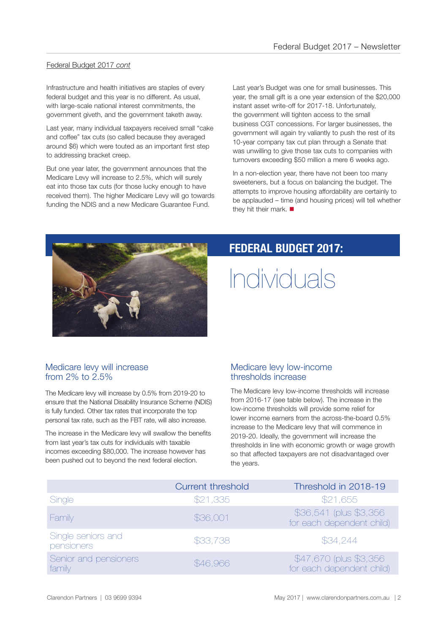#### Federal Budget 2017 *cont*

Infrastructure and health initiatives are staples of every federal budget and this year is no different. As usual, with large-scale national interest commitments, the government giveth, and the government taketh away.

Last year, many individual taxpayers received small "cake and coffee" tax cuts (so called because they averaged around \$6) which were touted as an important first step to addressing bracket creep.

But one year later, the government announces that the Medicare Levy will increase to 2.5%, which will surely eat into those tax cuts (for those lucky enough to have received them). The higher Medicare Levy will go towards funding the NDIS and a new Medicare Guarantee Fund.

Last year's Budget was one for small businesses. This year, the small gift is a one year extension of the \$20,000 instant asset write-off for 2017-18. Unfortunately, the government will tighten access to the small business CGT concessions. For larger businesses, the government will again try valiantly to push the rest of its 10-year company tax cut plan through a Senate that was unwilling to give those tax cuts to companies with turnovers exceeding \$50 million a mere 6 weeks ago.

In a non-election year, there have not been too many sweeteners, but a focus on balancing the budget. The attempts to improve housing affordability are certainly to be applauded – time (and housing prices) will tell whether they hit their mark.  $\blacksquare$ 



## **FEDERAL BUDGET 2017:**

# Individuals

#### Medicare levy will increase from  $2\%$  to  $2.5\%$

The Medicare levy will increase by 0.5% from 2019-20 to ensure that the National Disability Insurance Scheme (NDIS) is fully funded. Other tax rates that incorporate the top personal tax rate, such as the FBT rate, will also increase.

The increase in the Medicare levy will swallow the benefits from last year's tax cuts for individuals with taxable incomes exceeding \$80,000. The increase however has been pushed out to beyond the next federal election.

#### Medicare levy low-income thresholds increase

The Medicare levy low-income thresholds will increase from 2016-17 (see table below). The increase in the low-income thresholds will provide some relief for lower income earners from the across-the-board 0.5% increase to the Medicare levy that will commence in 2019-20. Ideally, the government will increase the thresholds in line with economic growth or wage growth so that affected taxpayers are not disadvantaged over the years.

|                                  | <b>Current threshold</b> | Threshold in 2018-19                                 |
|----------------------------------|--------------------------|------------------------------------------------------|
| Single                           | \$21,335                 | \$21,655                                             |
| Family                           | \$36,001                 | \$36,541 (plus \$3,356)<br>for each dependent child) |
| Single seniors and<br>pensioners | \$33,738                 | \$34,244                                             |
| Senior and pensioners<br>family  | \$46,966                 | \$47,670 (plus \$3,356)<br>for each dependent child) |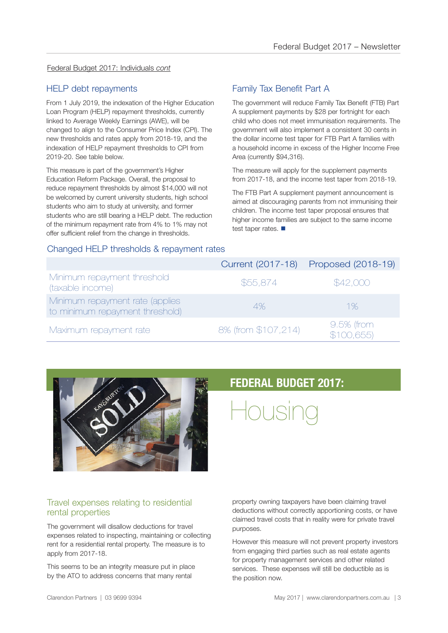#### Federal Budget 2017: Individuals *cont*

#### HELP debt repayments

From 1 July 2019, the indexation of the Higher Education Loan Program (HELP) repayment thresholds, currently linked to Average Weekly Earnings (AWE), will be changed to align to the Consumer Price Index (CPI). The new thresholds and rates apply from 2018-19, and the indexation of HELP repayment thresholds to CPI from 2019-20. See table below.

This measure is part of the government's Higher Education Reform Package. Overall, the proposal to reduce repayment thresholds by almost \$14,000 will not be welcomed by current university students, high school students who aim to study at university, and former students who are still bearing a HELP debt. The reduction of the minimum repayment rate from 4% to 1% may not offer sufficient relief from the change in thresholds.

#### Family Tax Benefit Part A

The government will reduce Family Tax Benefit (FTB) Part A supplement payments by \$28 per fortnight for each child who does not meet immunisation requirements. The government will also implement a consistent 30 cents in the dollar income test taper for FTB Part A families with a household income in excess of the Higher Income Free Area (currently \$94,316).

The measure will apply for the supplement payments from 2017-18, and the income test taper from 2018-19.

The FTB Part A supplement payment announcement is aimed at discouraging parents from not immunising their children. The income test taper proposal ensures that higher income families are subject to the same income test taper rates.  $\blacksquare$ 

#### Changed HELP thresholds & repayment rates

|                                                                    |                     | Current (2017-18) Proposed (2018-19) |
|--------------------------------------------------------------------|---------------------|--------------------------------------|
| Minimum repayment threshold<br>(taxable income)                    | \$55,874            | \$42,000                             |
| Minimum repayment rate (applies<br>to minimum repayment threshold) | 4%                  | 1%                                   |
| Maximum repayment rate                                             | 8% (from \$107,214) | $9.5%$ (from<br>\$100,655            |



#### Travel expenses relating to residential rental properties

The government will disallow deductions for travel expenses related to inspecting, maintaining or collecting rent for a residential rental property. The measure is to apply from 2017-18.

This seems to be an integrity measure put in place by the ATO to address concerns that many rental

### **FEDERAL BUDGET 2017:**

Housing

property owning taxpayers have been claiming travel deductions without correctly apportioning costs, or have claimed travel costs that in reality were for private travel purposes.

However this measure will not prevent property investors from engaging third parties such as real estate agents for property management services and other related services. These expenses will still be deductible as is the position now.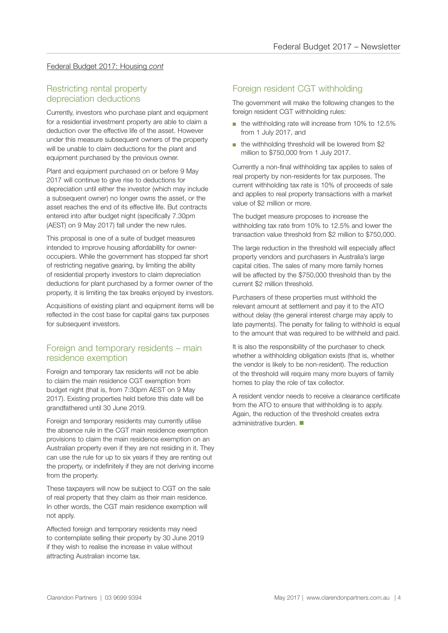#### Federal Budget 2017: Housing *cont*

#### Restricting rental property depreciation deductions

Currently, investors who purchase plant and equipment for a residential investment property are able to claim a deduction over the effective life of the asset. However under this measure subsequent owners of the property will be unable to claim deductions for the plant and equipment purchased by the previous owner.

Plant and equipment purchased on or before 9 May 2017 will continue to give rise to deductions for depreciation until either the investor (which may include a subsequent owner) no longer owns the asset, or the asset reaches the end of its effective life. But contracts entered into after budget night (specifically 7.30pm (AEST) on 9 May 2017) fall under the new rules.

This proposal is one of a suite of budget measures intended to improve housing affordability for owneroccupiers. While the government has stopped far short of restricting negative gearing, by limiting the ability of residential property investors to claim depreciation deductions for plant purchased by a former owner of the property, it is limiting the tax breaks enjoyed by investors.

Acquisitions of existing plant and equipment items will be reflected in the cost base for capital gains tax purposes for subsequent investors.

#### Foreign and temporary residents – main residence exemption

Foreign and temporary tax residents will not be able to claim the main residence CGT exemption from budget night (that is, from 7:30pm AEST on 9 May 2017). Existing properties held before this date will be grandfathered until 30 June 2019.

Foreign and temporary residents may currently utilise the absence rule in the CGT main residence exemption provisions to claim the main residence exemption on an Australian property even if they are not residing in it. They can use the rule for up to six years if they are renting out the property, or indefinitely if they are not deriving income from the property.

These taxpayers will now be subject to CGT on the sale of real property that they claim as their main residence. In other words, the CGT main residence exemption will not apply.

Affected foreign and temporary residents may need to contemplate selling their property by 30 June 2019 if they wish to realise the increase in value without attracting Australian income tax.

#### Foreign resident CGT withholding

The government will make the following changes to the foreign resident CGT withholding rules:

- the withholding rate will increase from 10% to 12.5% from 1 July 2017, and
- the withholding threshold will be lowered from \$2 million to \$750,000 from 1 July 2017.

Currently a non-final withholding tax applies to sales of real property by non-residents for tax purposes. The current withholding tax rate is 10% of proceeds of sale and applies to real property transactions with a market value of \$2 million or more.

The budget measure proposes to increase the withholding tax rate from 10% to 12.5% and lower the transaction value threshold from \$2 million to \$750,000.

The large reduction in the threshold will especially affect property vendors and purchasers in Australia's large capital cities. The sales of many more family homes will be affected by the \$750,000 threshold than by the current \$2 million threshold.

Purchasers of these properties must withhold the relevant amount at settlement and pay it to the ATO without delay (the general interest charge may apply to late payments). The penalty for failing to withhold is equal to the amount that was required to be withheld and paid.

It is also the responsibility of the purchaser to check whether a withholding obligation exists (that is, whether the vendor is likely to be non-resident). The reduction of the threshold will require many more buyers of family homes to play the role of tax collector.

A resident vendor needs to receive a clearance certificate from the ATO to ensure that withholding is to apply. Again, the reduction of the threshold creates extra administrative burden.  $\blacksquare$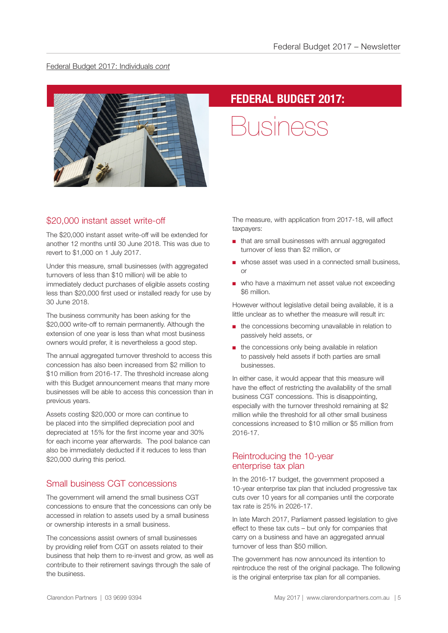#### Federal Budget 2017: Individuals *cont*



# **FEDERAL BUDGET 2017:**

Business

#### \$20,000 instant asset write-off

The \$20,000 instant asset write-off will be extended for another 12 months until 30 June 2018. This was due to revert to \$1,000 on 1 July 2017.

Under this measure, small businesses (with aggregated turnovers of less than \$10 million) will be able to immediately deduct purchases of eligible assets costing less than \$20,000 first used or installed ready for use by 30 June 2018.

The business community has been asking for the \$20,000 write-off to remain permanently. Although the extension of one year is less than what most business owners would prefer, it is nevertheless a good step.

The annual aggregated turnover threshold to access this concession has also been increased from \$2 million to \$10 million from 2016-17. The threshold increase along with this Budget announcement means that many more businesses will be able to access this concession than in previous years.

Assets costing \$20,000 or more can continue to be placed into the simplified depreciation pool and depreciated at 15% for the first income year and 30% for each income year afterwards. The pool balance can also be immediately deducted if it reduces to less than \$20,000 during this period.

#### Small business CGT concessions

The government will amend the small business CGT concessions to ensure that the concessions can only be accessed in relation to assets used by a small business or ownership interests in a small business.

The concessions assist owners of small businesses by providing relief from CGT on assets related to their business that help them to re-invest and grow, as well as contribute to their retirement savings through the sale of the business.

The measure, with application from 2017-18, will affect taxpayers:

- that are small businesses with annual aggregated turnover of less than \$2 million, or
- whose asset was used in a connected small business, or
- who have a maximum net asset value not exceeding \$6 million.

However without legislative detail being available, it is a little unclear as to whether the measure will result in:

- the concessions becoming unavailable in relation to passively held assets, or
- the concessions only being available in relation to passively held assets if both parties are small businesses.

In either case, it would appear that this measure will have the effect of restricting the availability of the small business CGT concessions. This is disappointing, especially with the turnover threshold remaining at \$2 million while the threshold for all other small business concessions increased to \$10 million or \$5 million from 2016-17.

#### Reintroducing the 10-year enterprise tax plan

In the 2016-17 budget, the government proposed a 10-year enterprise tax plan that included progressive tax cuts over 10 years for all companies until the corporate tax rate is 25% in 2026-17.

In late March 2017, Parliament passed legislation to give effect to these tax cuts – but only for companies that carry on a business and have an aggregated annual turnover of less than \$50 million.

The government has now announced its intention to reintroduce the rest of the original package. The following is the original enterprise tax plan for all companies.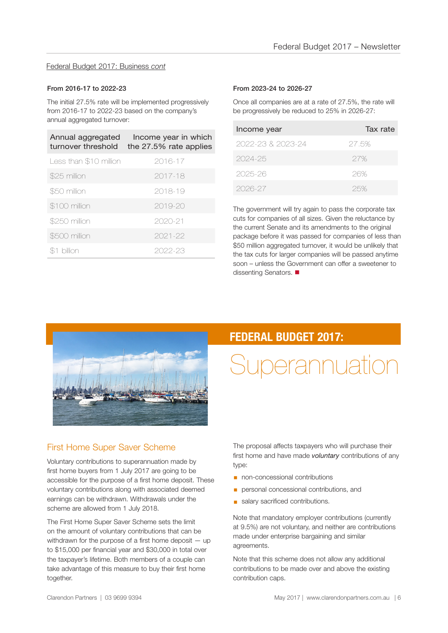#### Federal Budget 2017: Business *cont*

#### From 2016-17 to 2022-23

The initial 27.5% rate will be implemented progressively from 2016-17 to 2022-23 based on the company's annual aggregated turnover:

| Annual aggregated<br>turnover threshold | Income year in which<br>the 27.5% rate applies |
|-----------------------------------------|------------------------------------------------|
| Less than \$10 million                  | 2016-17                                        |
| \$25 million                            | 2017-18                                        |
| \$50 million                            | 2018-19                                        |
| \$100 million                           | $2019 - 20$                                    |
| \$250 million                           | 2020-21                                        |
| \$500 million                           | 2021-22                                        |
| billion                                 | 2022-23                                        |

#### From 2023-24 to 2026-27

Once all companies are at a rate of 27.5%, the rate will be progressively be reduced to 25% in 2026-27:

| Income year       | Tax rate |
|-------------------|----------|
| 2022-23 & 2023-24 | 27.5%    |
| 2024-25           | 27%      |
| 2025-26           | 26%      |
| 2026-27           | 25%      |

The government will try again to pass the corporate tax cuts for companies of all sizes. Given the reluctance by the current Senate and its amendments to the original package before it was passed for companies of less than \$50 million aggregated turnover, it would be unlikely that the tax cuts for larger companies will be passed anytime soon – unless the Government can offer a sweetener to dissenting Senators.



#### First Home Super Saver Scheme

Voluntary contributions to superannuation made by first home buyers from 1 July 2017 are going to be accessible for the purpose of a first home deposit. These voluntary contributions along with associated deemed earnings can be withdrawn. Withdrawals under the scheme are allowed from 1 July 2018.

The First Home Super Saver Scheme sets the limit on the amount of voluntary contributions that can be withdrawn for the purpose of a first home deposit – up to \$15,000 per financial year and \$30,000 in total over the taxpayer's lifetime. Both members of a couple can take advantage of this measure to buy their first home together.

### **FEDERAL BUDGET 2017:**

# Superannuation

The proposal affects taxpayers who will purchase their first home and have made *voluntary* contributions of any type:

- non-concessional contributions
- **•** personal concessional contributions, and
- **salary sacrificed contributions.**

Note that mandatory employer contributions (currently at 9.5%) are not voluntary, and neither are contributions made under enterprise bargaining and similar agreements.

Note that this scheme does not allow any additional contributions to be made over and above the existing contribution caps.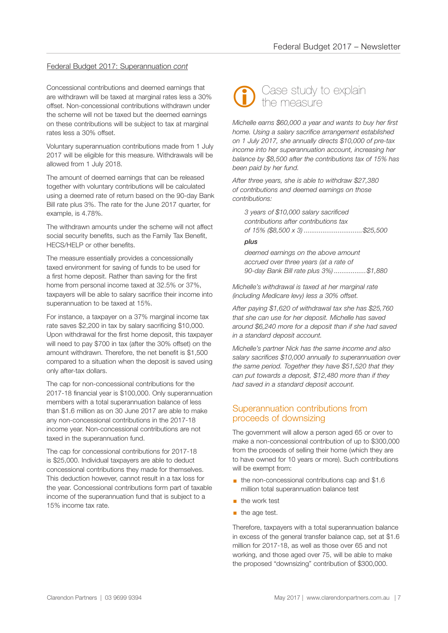#### Federal Budget 2017: Superannuation *cont*

Concessional contributions and deemed earnings that are withdrawn will be taxed at marginal rates less a 30% offset. Non-concessional contributions withdrawn under the scheme will not be taxed but the deemed earnings on these contributions will be subject to tax at marginal rates less a 30% offset.

Voluntary superannuation contributions made from 1 July 2017 will be eligible for this measure. Withdrawals will be allowed from 1 July 2018.

The amount of deemed earnings that can be released together with voluntary contributions will be calculated using a deemed rate of return based on the 90-day Bank Bill rate plus 3%. The rate for the June 2017 quarter, for example, is 4.78%.

The withdrawn amounts under the scheme will not affect social security benefits, such as the Family Tax Benefit, HECS/HELP or other benefits.

The measure essentially provides a concessionally taxed environment for saving of funds to be used for a first home deposit. Rather than saving for the first home from personal income taxed at 32.5% or 37%, taxpayers will be able to salary sacrifice their income into superannuation to be taxed at 15%.

For instance, a taxpayer on a 37% marginal income tax rate saves \$2,200 in tax by salary sacrificing \$10,000. Upon withdrawal for the first home deposit, this taxpayer will need to pay \$700 in tax (after the 30% offset) on the amount withdrawn. Therefore, the net benefit is \$1,500 compared to a situation when the deposit is saved using only after-tax dollars.

The cap for non-concessional contributions for the 2017-18 financial year is \$100,000. Only superannuation members with a total superannuation balance of less than \$1.6 million as on 30 June 2017 are able to make any non-concessional contributions in the 2017-18 income year. Non-concessional contributions are not taxed in the superannuation fund.

The cap for concessional contributions for 2017-18 is \$25,000. Individual taxpayers are able to deduct concessional contributions they made for themselves. This deduction however, cannot result in a tax loss for the year. Concessional contributions form part of taxable income of the superannuation fund that is subject to a 15% income tax rate.



*Michelle earns \$60,000 a year and wants to buy her first home. Using a salary sacrifice arrangement established on 1 July 2017, she annually directs \$10,000 of pre-tax income into her superannuation account, increasing her balance by \$8,500 after the contributions tax of 15% has been paid by her fund.*

*After three years, she is able to withdraw \$27,380 of contributions and deemed earnings on those contributions:* 

*3 years of \$10,000 salary sacrificed contributions after contributions tax of 15% (\$8,500 x 3) ...............................\$25,500*

#### *plus*

*deemed earnings on the above amount accrued over three years (at a rate of 90-day Bank Bill rate plus 3%) .................\$1,880*

*Michelle's withdrawal is taxed at her marginal rate (including Medicare levy) less a 30% offset.* 

*After paying \$1,620 of withdrawal tax she has \$25,760 that she can use for her deposit. Michelle has saved around \$6,240 more for a deposit than if she had saved in a standard deposit account.*

*Michelle's partner Nick has the same income and also salary sacrifices \$10,000 annually to superannuation over the same period. Together they have \$51,520 that they can put towards a deposit, \$12,480 more than if they had saved in a standard deposit account.*

#### Superannuation contributions from proceeds of downsizing

The government will allow a person aged 65 or over to make a non-concessional contribution of up to \$300,000 from the proceeds of selling their home (which they are to have owned for 10 years or more). Such contributions will be exempt from:

- the non-concessional contributions cap and \$1.6 million total superannuation balance test
- the work test
- $\blacksquare$  the age test.

Therefore, taxpayers with a total superannuation balance in excess of the general transfer balance cap, set at \$1.6 million for 2017-18, as well as those over 65 and not working, and those aged over 75, will be able to make the proposed "downsizing" contribution of \$300,000.